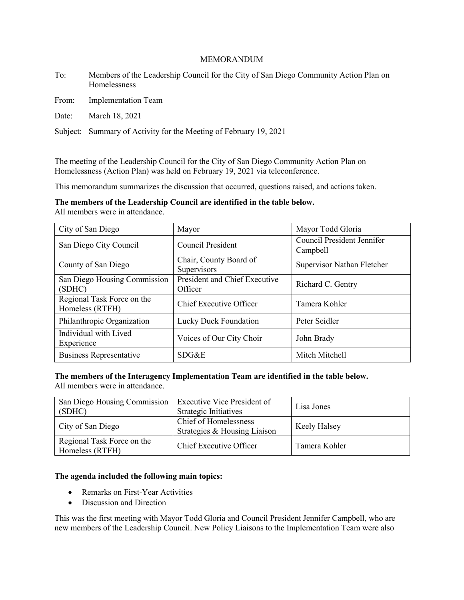#### MEMORANDUM

To: Members of the Leadership Council for the City of San Diego Community Action Plan on Homelessness

From: Implementation Team

Date: March 18, 2021

Subject: Summary of Activity for the Meeting of February 19, 2021

The meeting of the Leadership Council for the City of San Diego Community Action Plan on Homelessness (Action Plan) was held on February 19, 2021 via teleconference.

This memorandum summarizes the discussion that occurred, questions raised, and actions taken.

**The members of the Leadership Council are identified in the table below.** All members were in attendance.

| City of San Diego                             | Mayor                                    | Mayor Todd Gloria                      |
|-----------------------------------------------|------------------------------------------|----------------------------------------|
| San Diego City Council                        | Council President                        | Council President Jennifer<br>Campbell |
| County of San Diego                           | Chair, County Board of<br>Supervisors    | Supervisor Nathan Fletcher             |
| San Diego Housing Commission<br>(SDHC)        | President and Chief Executive<br>Officer | Richard C. Gentry                      |
| Regional Task Force on the<br>Homeless (RTFH) | Chief Executive Officer                  | Tamera Kohler                          |
| Philanthropic Organization                    | Lucky Duck Foundation                    | Peter Seidler                          |
| Individual with Lived<br>Experience           | Voices of Our City Choir                 | John Brady                             |
| <b>Business Representative</b>                | SDG&E                                    | Mitch Mitchell                         |

## **The members of the Interagency Implementation Team are identified in the table below.**

All members were in attendance.

| San Diego Housing Commission<br>(SDHC)        | <b>Executive Vice President of</b><br>Strategic Initiatives | Lisa Jones    |
|-----------------------------------------------|-------------------------------------------------------------|---------------|
| City of San Diego                             | Chief of Homelessness<br>Strategies & Housing Liaison       | Keely Halsey  |
| Regional Task Force on the<br>Homeless (RTFH) | Chief Executive Officer                                     | Tamera Kohler |

### **The agenda included the following main topics:**

- Remarks on First-Year Activities
- Discussion and Direction

This was the first meeting with Mayor Todd Gloria and Council President Jennifer Campbell, who are new members of the Leadership Council. New Policy Liaisons to the Implementation Team were also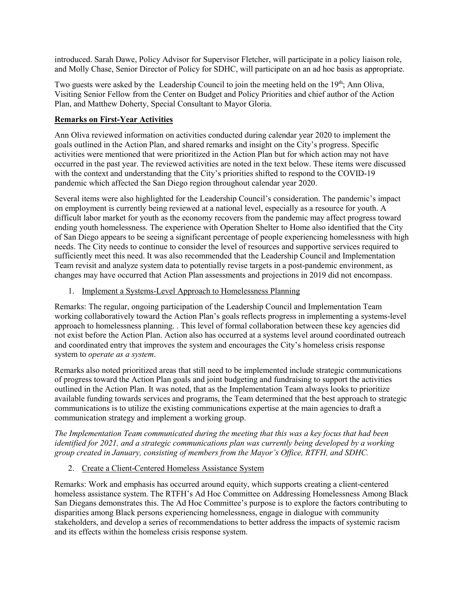introduced. Sarah Dawe, Policy Advisor for Supervisor Fletcher, will participate in a policy liaison role, and Molly Chase, Senior Director of Policy for SDHC, will participate on an ad hoc basis as appropriate.

Two guests were asked by the Leadership Council to join the meeting held on the 19<sup>th</sup>; Ann Oliva, Visiting Senior Fellow from the Center on Budget and Policy Priorities and chief author of the Action Plan, and Matthew Doherty, Special Consultant to Mayor Gloria.

# **Remarks on First-Year Activities**

Ann Oliva reviewed information on activities conducted during calendar year 2020 to implement the goals outlined in the Action Plan, and shared remarks and insight on the City's progress. Specific activities were mentioned that were prioritized in the Action Plan but for which action may not have occurred in the past year. The reviewed activities are noted in the text below. These items were discussed with the context and understanding that the City's priorities shifted to respond to the COVID-19 pandemic which affected the San Diego region throughout calendar year 2020.

Several items were also highlighted for the Leadership Council's consideration. The pandemic's impact on employment is currently being reviewed at a national level, especially as a resource for youth. A difficult labor market for youth as the economy recovers from the pandemic may affect progress toward ending youth homelessness. The experience with Operation Shelter to Home also identified that the City of San Diego appears to be seeing a significant percentage of people experiencing homelessness with high needs. The City needs to continue to consider the level of resources and supportive services required to sufficiently meet this need. It was also recommended that the Leadership Council and Implementation Team revisit and analyze system data to potentially revise targets in a post-pandemic environment, as changes may have occurred that Action Plan assessments and projections in 2019 did not encompass.

# 1. Implement a Systems-Level Approach to Homelessness Planning

Remarks: The regular, ongoing participation of the Leadership Council and Implementation Team working collaboratively toward the Action Plan's goals reflects progress in implementing a systems-level approach to homelessness planning. . This level of formal collaboration between these key agencies did not exist before the Action Plan. Action also has occurred at a systems level around coordinated outreach and coordinated entry that improves the system and encourages the City's homeless crisis response system to *operate as a system*.

Remarks also noted prioritized areas that still need to be implemented include strategic communications of progress toward the Action Plan goals and joint budgeting and fundraising to support the activities outlined in the Action Plan. It was noted, that as the Implementation Team always looks to prioritize available funding towards services and programs, the Team determined that the best approach to strategic communications is to utilize the existing communications expertise at the main agencies to draft a communication strategy and implement a working group.

*The Implementation Team communicated during the meeting that this was a key focus that had been identified for 2021, and a strategic communications plan was currently being developed by a working group created in January, consisting of members from the Mayor's Office, RTFH, and SDHC.* 

# 2. Create a Client-Centered Homeless Assistance System

Remarks: Work and emphasis has occurred around equity, which supports creating a client-centered homeless assistance system. The RTFH's Ad Hoc Committee on Addressing Homelessness Among Black San Diegans demonstrates this. The Ad Hoc Committee's purpose is to explore the factors contributing to disparities among Black persons experiencing homelessness, engage in dialogue with community stakeholders, and develop a series of recommendations to better address the impacts of systemic racism and its effects within the homeless crisis response system.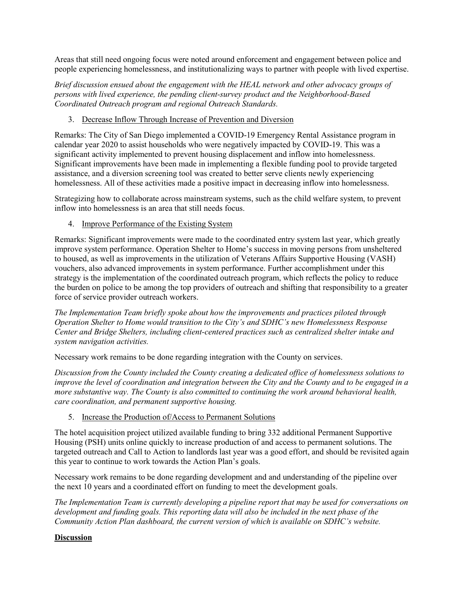Areas that still need ongoing focus were noted around enforcement and engagement between police and people experiencing homelessness, and institutionalizing ways to partner with people with lived expertise.

*Brief discussion ensued about the engagement with the HEAL network and other advocacy groups of persons with lived experience, the pending client-survey product and the Neighborhood-Based Coordinated Outreach program and regional Outreach Standards.* 

# 3. Decrease Inflow Through Increase of Prevention and Diversion

Remarks: The City of San Diego implemented a COVID-19 Emergency Rental Assistance program in calendar year 2020 to assist households who were negatively impacted by COVID-19. This was a significant activity implemented to prevent housing displacement and inflow into homelessness. Significant improvements have been made in implementing a flexible funding pool to provide targeted assistance, and a diversion screening tool was created to better serve clients newly experiencing homelessness. All of these activities made a positive impact in decreasing inflow into homelessness.

Strategizing how to collaborate across mainstream systems, such as the child welfare system, to prevent inflow into homelessness is an area that still needs focus.

4. Improve Performance of the Existing System

Remarks: Significant improvements were made to the coordinated entry system last year, which greatly improve system performance. Operation Shelter to Home's success in moving persons from unsheltered to housed, as well as improvements in the utilization of Veterans Affairs Supportive Housing (VASH) vouchers, also advanced improvements in system performance. Further accomplishment under this strategy is the implementation of the coordinated outreach program, which reflects the policy to reduce the burden on police to be among the top providers of outreach and shifting that responsibility to a greater force of service provider outreach workers.

*The Implementation Team briefly spoke about how the improvements and practices piloted through Operation Shelter to Home would transition to the City's and SDHC's new Homelessness Response Center and Bridge Shelters, including client-centered practices such as centralized shelter intake and system navigation activities.*

Necessary work remains to be done regarding integration with the County on services.

*Discussion from the County included the County creating a dedicated office of homelessness solutions to improve the level of coordination and integration between the City and the County and to be engaged in a more substantive way. The County is also committed to continuing the work around behavioral health, care coordination, and permanent supportive housing.* 

# 5. Increase the Production of/Access to Permanent Solutions

The hotel acquisition project utilized available funding to bring 332 additional Permanent Supportive Housing (PSH) units online quickly to increase production of and access to permanent solutions. The targeted outreach and Call to Action to landlords last year was a good effort, and should be revisited again this year to continue to work towards the Action Plan's goals.

Necessary work remains to be done regarding development and and understanding of the pipeline over the next 10 years and a coordinated effort on funding to meet the development goals.

*The Implementation Team is currently developing a pipeline report that may be used for conversations on development and funding goals. This reporting data will also be included in the next phase of the Community Action Plan dashboard, the current version of which is available on SDHC's website.*

# **Discussion**